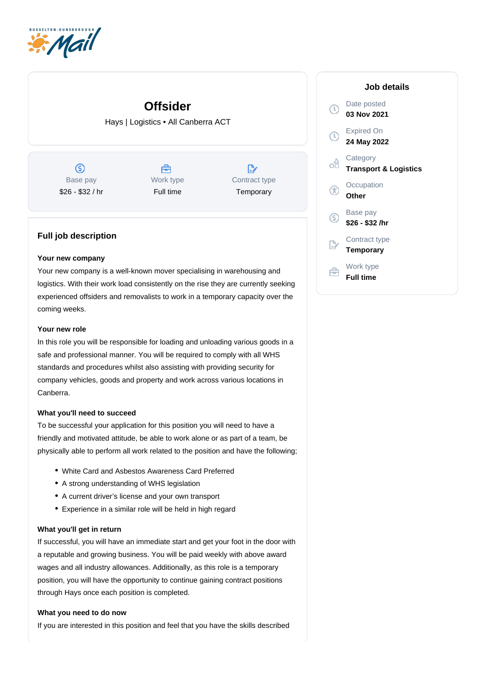

# **Offsider**

Hays | Logistics • All Canberra ACT

 $\circledS$ Base pay \$26 - \$32 / hr

曲 Work type Full time

 $\mathbb{R}^n$ Contract type **Temporary** 

## **Full job description**

### **Your new company**

Your new company is a well-known mover specialising in warehousing and logistics. With their work load consistently on the rise they are currently seeking experienced offsiders and removalists to work in a temporary capacity over the coming weeks.

### **Your new role**

In this role you will be responsible for loading and unloading various goods in a safe and professional manner. You will be required to comply with all WHS standards and procedures whilst also assisting with providing security for company vehicles, goods and property and work across various locations in Canberra.

### **What you'll need to succeed**

To be successful your application for this position you will need to have a friendly and motivated attitude, be able to work alone or as part of a team, be physically able to perform all work related to the position and have the following;

- White Card and Asbestos Awareness Card Preferred
- A strong understanding of WHS legislation
- A current driver's license and your own transport
- Experience in a similar role will be held in high regard

#### **What you'll get in return**

If successful, you will have an immediate start and get your foot in the door with a reputable and growing business. You will be paid weekly with above award wages and all industry allowances. Additionally, as this role is a temporary position, you will have the opportunity to continue gaining contract positions through Hays once each position is completed.

#### **What you need to do now**

If you are interested in this position and feel that you have the skills described

| Job details                                  |
|----------------------------------------------|
| Date posted<br>03 Nov 2021                   |
| Expired On<br>24 May 2022                    |
| Category<br><b>Transport &amp; Logistics</b> |
| Occupation<br>Other                          |
| Base pay<br>\$26 - \$32 /hr                  |
| Contract type<br>Temporary                   |
| Work type<br><b>Full time</b>                |